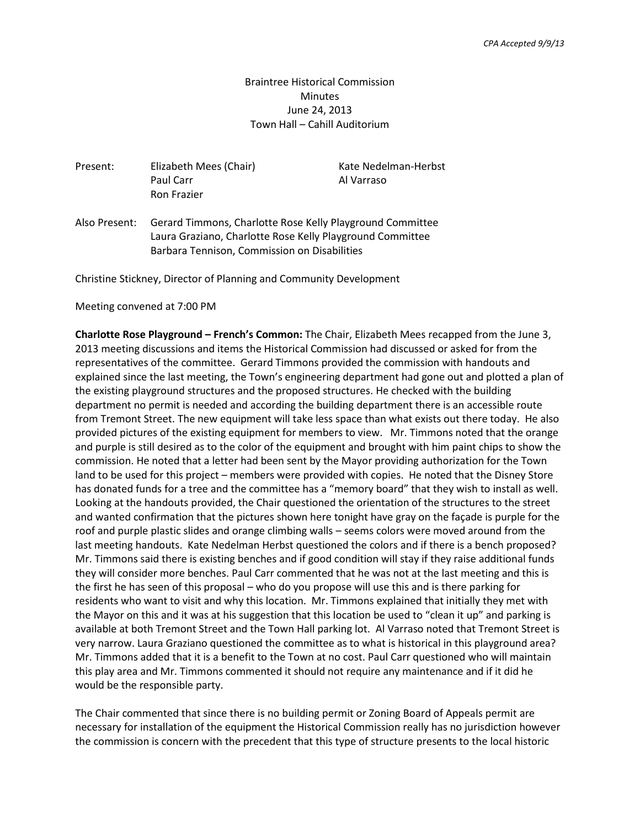Braintree Historical Commission **Minutes** June 24, 2013 Town Hall – Cahill Auditorium

Present: Elizabeth Mees (Chair) Kate Nedelman-Herbst Paul Carr Al Varraso Ron Frazier

Also Present: Gerard Timmons, Charlotte Rose Kelly Playground Committee Laura Graziano, Charlotte Rose Kelly Playground Committee Barbara Tennison, Commission on Disabilities

Christine Stickney, Director of Planning and Community Development

## Meeting convened at 7:00 PM

**Charlotte Rose Playground – French's Common:** The Chair, Elizabeth Mees recapped from the June 3, 2013 meeting discussions and items the Historical Commission had discussed or asked for from the representatives of the committee. Gerard Timmons provided the commission with handouts and explained since the last meeting, the Town's engineering department had gone out and plotted a plan of the existing playground structures and the proposed structures. He checked with the building department no permit is needed and according the building department there is an accessible route from Tremont Street. The new equipment will take less space than what exists out there today. He also provided pictures of the existing equipment for members to view. Mr. Timmons noted that the orange and purple is still desired as to the color of the equipment and brought with him paint chips to show the commission. He noted that a letter had been sent by the Mayor providing authorization for the Town land to be used for this project – members were provided with copies. He noted that the Disney Store has donated funds for a tree and the committee has a "memory board" that they wish to install as well. Looking at the handouts provided, the Chair questioned the orientation of the structures to the street and wanted confirmation that the pictures shown here tonight have gray on the façade is purple for the roof and purple plastic slides and orange climbing walls – seems colors were moved around from the last meeting handouts. Kate Nedelman Herbst questioned the colors and if there is a bench proposed? Mr. Timmons said there is existing benches and if good condition will stay if they raise additional funds they will consider more benches. Paul Carr commented that he was not at the last meeting and this is the first he has seen of this proposal – who do you propose will use this and is there parking for residents who want to visit and why this location. Mr. Timmons explained that initially they met with the Mayor on this and it was at his suggestion that this location be used to "clean it up" and parking is available at both Tremont Street and the Town Hall parking lot. Al Varraso noted that Tremont Street is very narrow. Laura Graziano questioned the committee as to what is historical in this playground area? Mr. Timmons added that it is a benefit to the Town at no cost. Paul Carr questioned who will maintain this play area and Mr. Timmons commented it should not require any maintenance and if it did he would be the responsible party.

The Chair commented that since there is no building permit or Zoning Board of Appeals permit are necessary for installation of the equipment the Historical Commission really has no jurisdiction however the commission is concern with the precedent that this type of structure presents to the local historic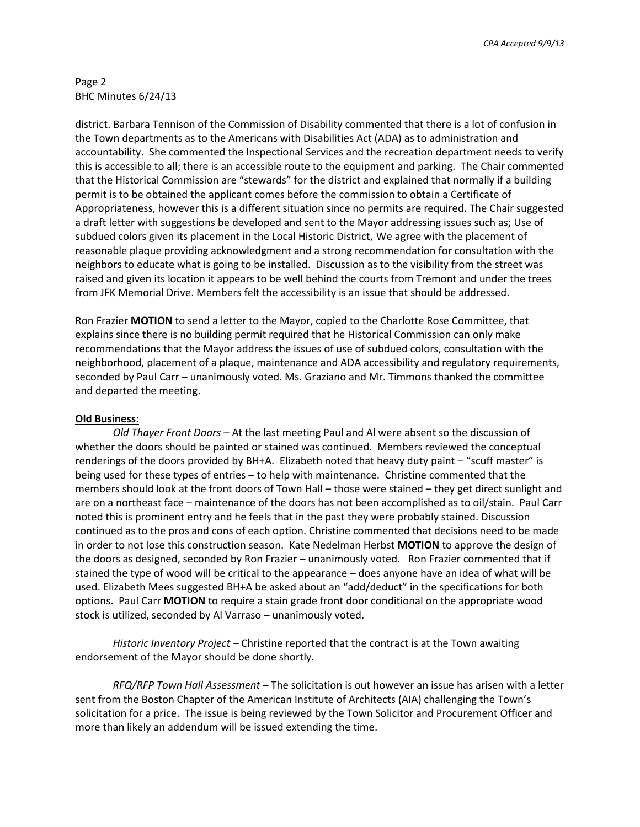*CPA Accepted 9/9/13*

## Page 2 BHC Minutes 6/24/13

district. Barbara Tennison of the Commission of Disability commented that there is a lot of confusion in the Town departments as to the Americans with Disabilities Act (ADA) as to administration and accountability. She commented the Inspectional Services and the recreation department needs to verify this is accessible to all; there is an accessible route to the equipment and parking. The Chair commented that the Historical Commission are "stewards" for the district and explained that normally if a building permit is to be obtained the applicant comes before the commission to obtain a Certificate of Appropriateness, however this is a different situation since no permits are required. The Chair suggested a draft letter with suggestions be developed and sent to the Mayor addressing issues such as; Use of subdued colors given its placement in the Local Historic District, We agree with the placement of reasonable plaque providing acknowledgment and a strong recommendation for consultation with the neighbors to educate what is going to be installed. Discussion as to the visibility from the street was raised and given its location it appears to be well behind the courts from Tremont and under the trees from JFK Memorial Drive. Members felt the accessibility is an issue that should be addressed.

Ron Frazier **MOTION** to send a letter to the Mayor, copied to the Charlotte Rose Committee, that explains since there is no building permit required that he Historical Commission can only make recommendations that the Mayor address the issues of use of subdued colors, consultation with the neighborhood, placement of a plaque, maintenance and ADA accessibility and regulatory requirements, seconded by Paul Carr – unanimously voted. Ms. Graziano and Mr. Timmons thanked the committee and departed the meeting.

## **Old Business:**

*Old Thayer Front Doors* – At the last meeting Paul and Al were absent so the discussion of whether the doors should be painted or stained was continued. Members reviewed the conceptual renderings of the doors provided by BH+A. Elizabeth noted that heavy duty paint – "scuff master" is being used for these types of entries – to help with maintenance. Christine commented that the members should look at the front doors of Town Hall – those were stained – they get direct sunlight and are on a northeast face – maintenance of the doors has not been accomplished as to oil/stain. Paul Carr noted this is prominent entry and he feels that in the past they were probably stained. Discussion continued as to the pros and cons of each option. Christine commented that decisions need to be made in order to not lose this construction season. Kate Nedelman Herbst **MOTION** to approve the design of the doors as designed, seconded by Ron Frazier – unanimously voted. Ron Frazier commented that if stained the type of wood will be critical to the appearance – does anyone have an idea of what will be used. Elizabeth Mees suggested BH+A be asked about an "add/deduct" in the specifications for both options. Paul Carr **MOTION** to require a stain grade front door conditional on the appropriate wood stock is utilized, seconded by Al Varraso – unanimously voted.

*Historic Inventory Project* – Christine reported that the contract is at the Town awaiting endorsement of the Mayor should be done shortly.

*RFQ/RFP Town Hall Assessment* – The solicitation is out however an issue has arisen with a letter sent from the Boston Chapter of the American Institute of Architects (AIA) challenging the Town's solicitation for a price. The issue is being reviewed by the Town Solicitor and Procurement Officer and more than likely an addendum will be issued extending the time.